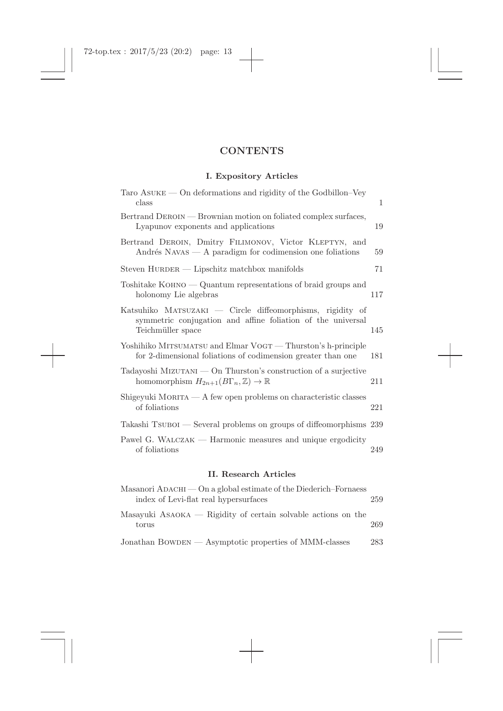## **CONTENTS**

## **I. Expository Articles**

| <b>II. Research Articles</b>                                                                                                                  |              |  |
|-----------------------------------------------------------------------------------------------------------------------------------------------|--------------|--|
| Pawel G. WALCZAK — Harmonic measures and unique ergodicity<br>of foliations                                                                   | 249          |  |
| Takashi Tsubol — Several problems on groups of diffeomorphisms 239                                                                            |              |  |
| Shigeyuki MORITA — A few open problems on characteristic classes<br>of foliations                                                             | 221          |  |
| Tadayoshi MIZUTANI — On Thurston's construction of a surjective<br>homomorphism $H_{2n+1}(B\Gamma_n,\mathbb{Z})\to\mathbb{R}$                 | 211          |  |
| Yoshihiko MITSUMATSU and Elmar VOGT — Thurston's h-principle<br>for 2-dimensional foliations of codimension greater than one                  | 181          |  |
| Katsuhiko MATSUZAKI — Circle diffeomorphisms, rigidity of<br>symmetric conjugation and affine foliation of the universal<br>Teichmüller space | 145          |  |
| Toshitake KOHNO $-$ Quantum representations of braid groups and<br>holonomy Lie algebras                                                      | 117          |  |
| Steven HURDER — Lipschitz matchbox manifolds                                                                                                  | 71           |  |
| Bertrand DEROIN, Dmitry FILIMONOV, Victor KLEPTYN, and<br>Andrés NAVAS $- A$ paradigm for codimension one foliations                          | 59           |  |
| Bertrand DEROIN — Brownian motion on foliated complex surfaces,<br>Lyapunov exponents and applications                                        | 19           |  |
| $\text{Taro}$ ASUKE — On deformations and rigidity of the Godbillon–Vey<br>class                                                              | $\mathbf{1}$ |  |

| Masanori ADACHI — On a global estimate of the Diederich–Fornaess<br>index of Levi-flat real hypersurfaces | 259 |
|-----------------------------------------------------------------------------------------------------------|-----|
| Masayuki ASAOKA — Rigidity of certain solvable actions on the<br>torus                                    | 269 |
| Jonathan BOWDEN — Asymptotic properties of MMM-classes                                                    | 283 |